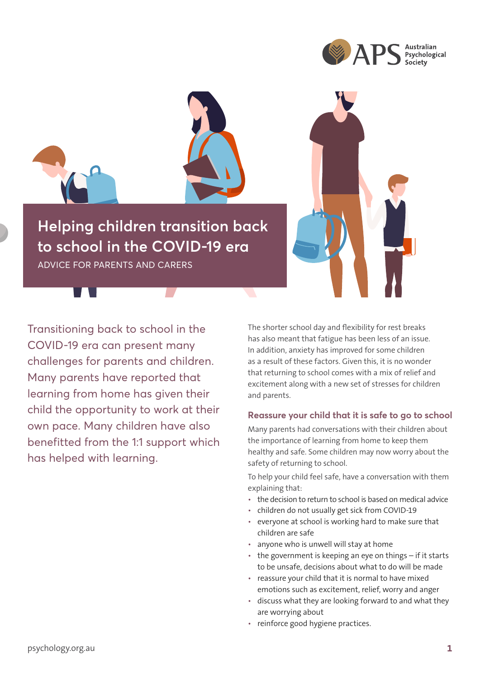



**Helping children transition back to school in the COVID-19 era**

ADVICE FOR PARENTS AND CARERS

Transitioning back to school in the COVID-19 era can present many challenges for parents and children. Many parents have reported that learning from home has given their child the opportunity to work at their own pace. Many children have also benefitted from the 1:1 support which has helped with learning.

The shorter school day and flexibility for rest breaks has also meant that fatigue has been less of an issue. In addition, anxiety has improved for some children as a result of these factors. Given this, it is no wonder that returning to school comes with a mix of relief and excitement along with a new set of stresses for children and parents.

### **Reassure your child that it is safe to go to school**

Many parents had conversations with their children about the importance of learning from home to keep them healthy and safe. Some children may now worry about the safety of returning to school.

To help your child feel safe, have a conversation with them explaining that:

- the decision to return to school is based on medical advice
- children do not usually get sick from COVID-19
- everyone at school is working hard to make sure that children are safe
- anyone who is unwell will stay at home
- the government is keeping an eye on things if it starts to be unsafe, decisions about what to do will be made
- reassure your child that it is normal to have mixed emotions such as excitement, relief, worry and anger
- discuss what they are looking forward to and what they are worrying about
- reinforce good hygiene practices.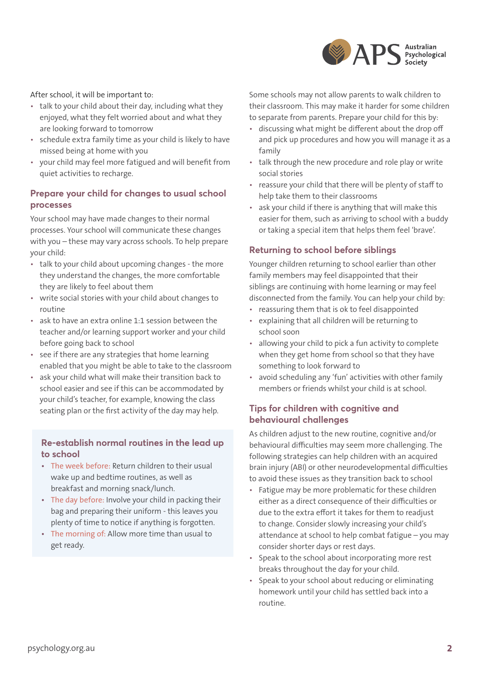

After school, it will be important to:

- talk to your child about their day, including what they enjoyed, what they felt worried about and what they are looking forward to tomorrow
- schedule extra family time as your child is likely to have missed being at home with you
- your child may feel more fatigued and will benefit from quiet activities to recharge.

# **Prepare your child for changes to usual school processes**

Your school may have made changes to their normal processes. Your school will communicate these changes with you – these may vary across schools. To help prepare your child:

- talk to your child about upcoming changes the more they understand the changes, the more comfortable they are likely to feel about them
- write social stories with your child about changes to routine
- ask to have an extra online 1:1 session between the teacher and/or learning support worker and your child before going back to school
- see if there are any strategies that home learning enabled that you might be able to take to the classroom
- ask your child what will make their transition back to school easier and see if this can be accommodated by your child's teacher, for example, knowing the class seating plan or the first activity of the day may help.

#### **Re-establish normal routines in the lead up to school**

- The week before: Return children to their usual wake up and bedtime routines, as well as breakfast and morning snack/lunch.
- The day before: Involve your child in packing their bag and preparing their uniform - this leaves you plenty of time to notice if anything is forgotten.
- The morning of: Allow more time than usual to get ready.

Some schools may not allow parents to walk children to their classroom. This may make it harder for some children to separate from parents. Prepare your child for this by:

- discussing what might be different about the drop off and pick up procedures and how you will manage it as a family
- talk through the new procedure and role play or write social stories
- reassure your child that there will be plenty of staff to help take them to their classrooms
- ask your child if there is anything that will make this easier for them, such as arriving to school with a buddy or taking a special item that helps them feel 'brave'.

# **Returning to school before siblings**

Younger children returning to school earlier than other family members may feel disappointed that their siblings are continuing with home learning or may feel disconnected from the family. You can help your child by:

- reassuring them that is ok to feel disappointed
- explaining that all children will be returning to school soon
- allowing your child to pick a fun activity to complete when they get home from school so that they have something to look forward to
- avoid scheduling any 'fun' activities with other family members or friends whilst your child is at school.

# **Tips for children with cognitive and behavioural challenges**

As children adjust to the new routine, cognitive and/or behavioural difficulties may seem more challenging. The following strategies can help children with an acquired brain injury (ABI) or other neurodevelopmental difficulties to avoid these issues as they transition back to school

- Fatigue may be more problematic for these children either as a direct consequence of their difficulties or due to the extra effort it takes for them to readjust to change. Consider slowly increasing your child's attendance at school to help combat fatigue – you may consider shorter days or rest days.
- Speak to the school about incorporating more rest breaks throughout the day for your child.
- Speak to your school about reducing or eliminating homework until your child has settled back into a routine.